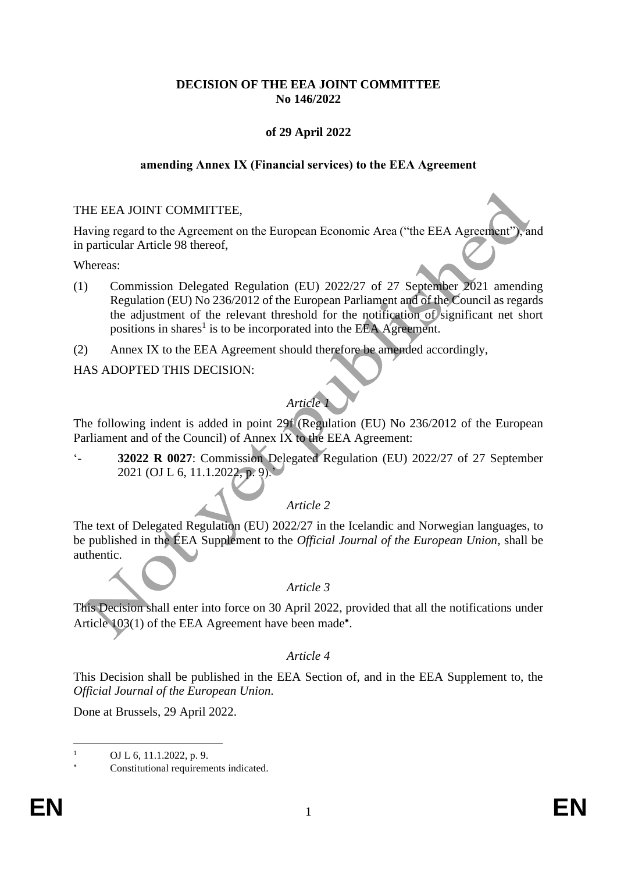## **DECISION OF THE EEA JOINT COMMITTEE No 146/2022**

## **of 29 April 2022**

### **amending Annex IX (Financial services) to the EEA Agreement**

### THE EEA JOINT COMMITTEE,

Having regard to the Agreement on the European Economic Area ("the EEA Agreement"), and in particular Article 98 thereof,

Whereas:

- (1) Commission Delegated Regulation (EU) 2022/27 of 27 September 2021 amending Regulation (EU) No 236/2012 of the European Parliament and of the Council as regards the adjustment of the relevant threshold for the notification of significant net short positions in shares<sup>1</sup> is to be incorporated into the EEA Agreement.
- (2) Annex IX to the EEA Agreement should therefore be amended accordingly,

HAS ADOPTED THIS DECISION:

# *Article 1*

The following indent is added in point 29f (Regulation (EU) No 236/2012 of the European Parliament and of the Council) of Annex IX to the EEA Agreement:

'- **32022 R 0027**: Commission Delegated Regulation (EU) 2022/27 of 27 September 2021 (OJ L 6, 11.1.2022, p. 9).'

### *Article 2*

The text of Delegated Regulation (EU) 2022/27 in the Icelandic and Norwegian languages, to be published in the EEA Supplement to the *Official Journal of the European Union*, shall be authentic.

### *Article 3*

This Decision shall enter into force on 30 April 2022, provided that all the notifications under Article 103(1) of the EEA Agreement have been made\*.

#### *Article 4*

This Decision shall be published in the EEA Section of, and in the EEA Supplement to, the *Official Journal of the European Union*.

Done at Brussels, 29 April 2022.

OJ L 6, 11.1.2022, p. 9.

Constitutional requirements indicated.